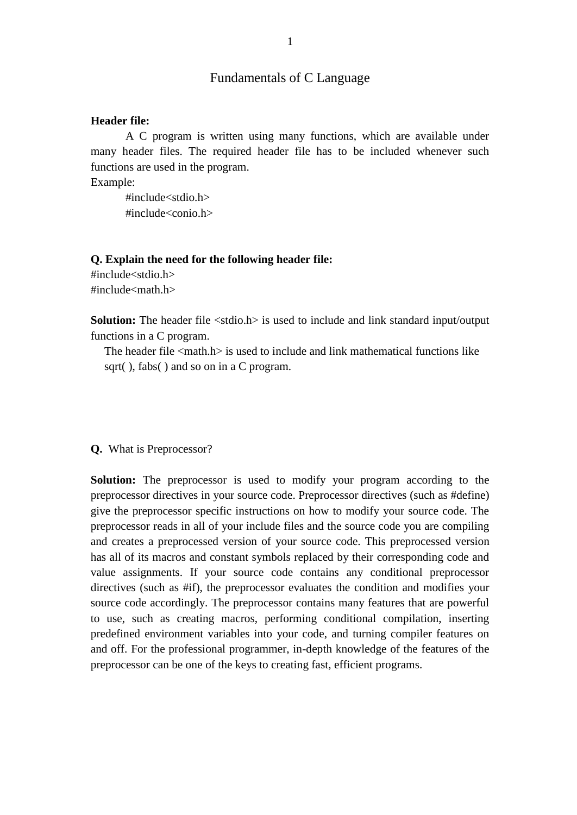## Fundamentals of C Language

#### **Header file:**

A C program is written using many functions, which are available under many header files. The required header file has to be included whenever such functions are used in the program.

Example:

#include<stdio.h> #include<conio.h>

#### **Q. Explain the need for the following header file:**

#include<stdio.h>  $\#$ include $\leq$ math.h $>$ 

**Solution:** The header file  $\lt$ stdio.h> is used to include and link standard input/output functions in a C program.

The header file  $\leq$  math.h is used to include and link mathematical functions like sqrt(), fabs() and so on in a C program.

#### **Q.** What is Preprocessor?

**Solution:** The preprocessor is used to modify your program according to the preprocessor directives in your source code. Preprocessor directives (such as #define) give the preprocessor specific instructions on how to modify your source code. The preprocessor reads in all of your include files and the source code you are compiling and creates a preprocessed version of your source code. This preprocessed version has all of its macros and constant symbols replaced by their corresponding code and value assignments. If your source code contains any conditional preprocessor directives (such as #if), the preprocessor evaluates the condition and modifies your source code accordingly. The preprocessor contains many features that are powerful to use, such as creating macros, performing conditional compilation, inserting predefined environment variables into your code, and turning compiler features on and off. For the professional programmer, in-depth knowledge of the features of the preprocessor can be one of the keys to creating fast, efficient programs.